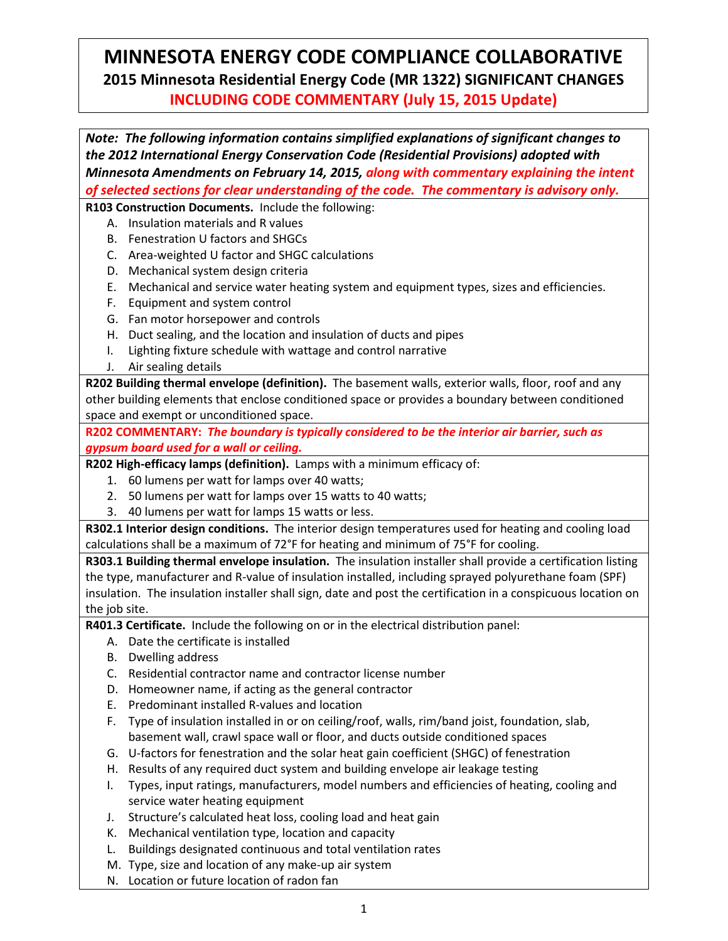## **MINNESOTA ENERGY CODE COMPLIANCE COLLABORATIVE 2015 Minnesota Residential Energy Code (MR 1322) SIGNIFICANT CHANGES INCLUDING CODE COMMENTARY (July 15, 2015 Update)**

*Note: The following information contains simplified explanations of significant changes to the 2012 International Energy Conservation Code (Residential Provisions) adopted with Minnesota Amendments on February 14, 2015, along with commentary explaining the intent of selected sections for clear understanding of the code. The commentary is advisory only.* **R103 Construction Documents.** Include the following: A. Insulation materials and R values B. Fenestration U factors and SHGCs C. Area-weighted U factor and SHGC calculations D. Mechanical system design criteria E. Mechanical and service water heating system and equipment types, sizes and efficiencies. F. Equipment and system control G. Fan motor horsepower and controls H. Duct sealing, and the location and insulation of ducts and pipes I. Lighting fixture schedule with wattage and control narrative J. Air sealing details **R202 Building thermal envelope (definition).** The basement walls, exterior walls, floor, roof and any other building elements that enclose conditioned space or provides a boundary between conditioned space and exempt or unconditioned space. **R202 COMMENTARY:** *The boundary is typically considered to be the interior air barrier, such as gypsum board used for a wall or ceiling.* **R202 High-efficacy lamps (definition).** Lamps with a minimum efficacy of: 1. 60 lumens per watt for lamps over 40 watts; 2. 50 lumens per watt for lamps over 15 watts to 40 watts; 3. 40 lumens per watt for lamps 15 watts or less. **R302.1 Interior design conditions.** The interior design temperatures used for heating and cooling load calculations shall be a maximum of 72°F for heating and minimum of 75°F for cooling. **R303.1 Building thermal envelope insulation.** The insulation installer shall provide a certification listing the type, manufacturer and R-value of insulation installed, including sprayed polyurethane foam (SPF) insulation. The insulation installer shall sign, date and post the certification in a conspicuous location on the job site. **R401.3 Certificate.** Include the following on or in the electrical distribution panel: A. Date the certificate is installed B. Dwelling address C. Residential contractor name and contractor license number D. Homeowner name, if acting as the general contractor E. Predominant installed R-values and location F. Type of insulation installed in or on ceiling/roof, walls, rim/band joist, foundation, slab, basement wall, crawl space wall or floor, and ducts outside conditioned spaces G. U-factors for fenestration and the solar heat gain coefficient (SHGC) of fenestration H. Results of any required duct system and building envelope air leakage testing I. Types, input ratings, manufacturers, model numbers and efficiencies of heating, cooling and service water heating equipment J. Structure's calculated heat loss, cooling load and heat gain K. Mechanical ventilation type, location and capacity

- L. Buildings designated continuous and total ventilation rates
- M. Type, size and location of any make-up air system
- N. Location or future location of radon fan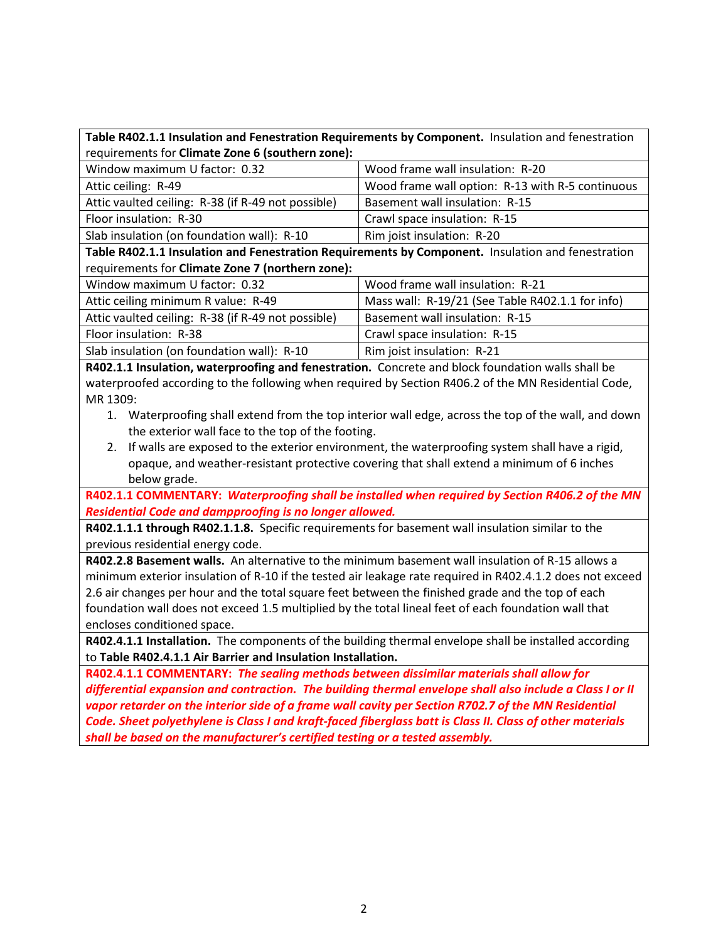| Table R402.1.1 Insulation and Fenestration Requirements by Component. Insulation and fenestration |  |
|---------------------------------------------------------------------------------------------------|--|
| requirements for Climate Zone 6 (southern zone):                                                  |  |

| Window maximum U factor: 0.32                      | Wood frame wall insulation: R-20                 |
|----------------------------------------------------|--------------------------------------------------|
| Attic ceiling: R-49                                | Wood frame wall option: R-13 with R-5 continuous |
| Attic vaulted ceiling: R-38 (if R-49 not possible) | Basement wall insulation: R-15                   |
| Floor insulation: R-30                             | Crawl space insulation: R-15                     |
| Slab insulation (on foundation wall): R-10         | Rim joist insulation: R-20                       |

**Table R402.1.1 Insulation and Fenestration Requirements by Component.** Insulation and fenestration requirements for **Climate Zone 7 (northern zone):**

| Window maximum U factor: 0.32                      | Wood frame wall insulation: R-21                 |
|----------------------------------------------------|--------------------------------------------------|
| Attic ceiling minimum R value: R-49                | Mass wall: R-19/21 (See Table R402.1.1 for info) |
| Attic vaulted ceiling: R-38 (if R-49 not possible) | Basement wall insulation: R-15                   |
| Floor insulation: R-38                             | Crawl space insulation: R-15                     |
| Slab insulation (on foundation wall): R-10         | Rim joist insulation: R-21                       |

**R402.1.1 Insulation, waterproofing and fenestration.** Concrete and block foundation walls shall be waterproofed according to the following when required by Section R406.2 of the MN Residential Code, MR 1309:

- 1. Waterproofing shall extend from the top interior wall edge, across the top of the wall, and down the exterior wall face to the top of the footing.
- 2. If walls are exposed to the exterior environment, the waterproofing system shall have a rigid, opaque, and weather-resistant protective covering that shall extend a minimum of 6 inches below grade.

**R402.1.1 COMMENTARY:** *Waterproofing shall be installed when required by Section R406.2 of the MN Residential Code and dampproofing is no longer allowed.*

**R402.1.1.1 through R402.1.1.8.** Specific requirements for basement wall insulation similar to the previous residential energy code.

**R402.2.8 Basement walls.** An alternative to the minimum basement wall insulation of R-15 allows a minimum exterior insulation of R-10 if the tested air leakage rate required in R402.4.1.2 does not exceed 2.6 air changes per hour and the total square feet between the finished grade and the top of each foundation wall does not exceed 1.5 multiplied by the total lineal feet of each foundation wall that encloses conditioned space.

**R402.4.1.1 Installation.** The components of the building thermal envelope shall be installed according to **Table R402.4.1.1 Air Barrier and Insulation Installation.** 

**R402.4.1.1 COMMENTARY:** *The sealing methods between dissimilar materials shall allow for differential expansion and contraction. The building thermal envelope shall also include a Class I or II vapor retarder on the interior side of a frame wall cavity per Section R702.7 of the MN Residential Code. Sheet polyethylene is Class I and kraft-faced fiberglass batt is Class II. Class of other materials shall be based on the manufacturer's certified testing or a tested assembly.*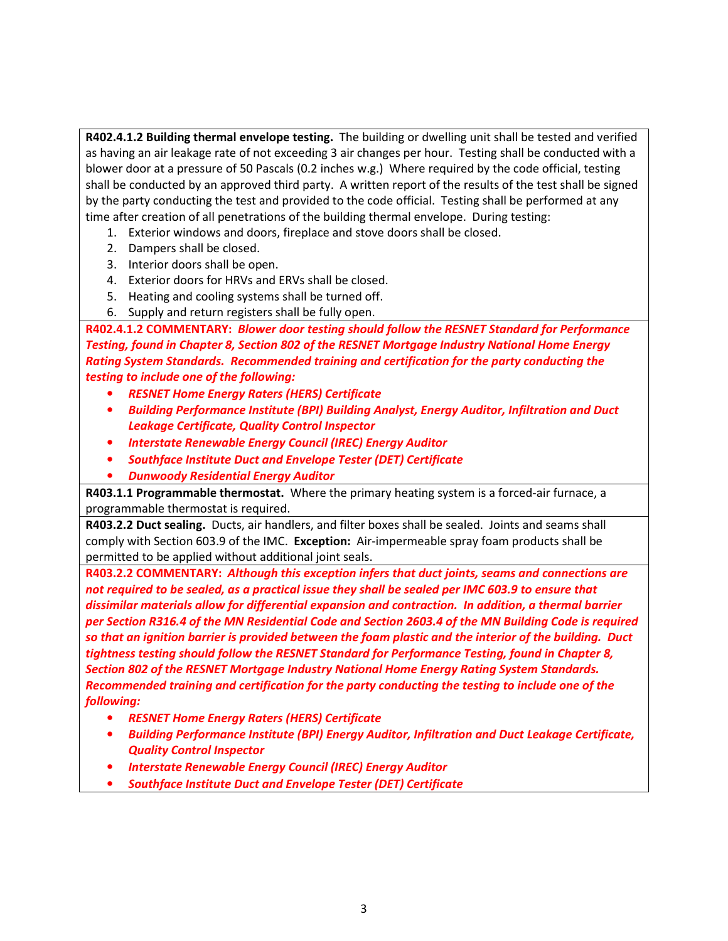**R402.4.1.2 Building thermal envelope testing.** The building or dwelling unit shall be tested and verified as having an air leakage rate of not exceeding 3 air changes per hour. Testing shall be conducted with a blower door at a pressure of 50 Pascals (0.2 inches w.g.) Where required by the code official, testing shall be conducted by an approved third party. A written report of the results of the test shall be signed by the party conducting the test and provided to the code official. Testing shall be performed at any time after creation of all penetrations of the building thermal envelope. During testing:

- 1. Exterior windows and doors, fireplace and stove doors shall be closed.
- 2. Dampers shall be closed.
- 3. Interior doors shall be open.
- 4. Exterior doors for HRVs and ERVs shall be closed.
- 5. Heating and cooling systems shall be turned off.
- 6. Supply and return registers shall be fully open.

**R402.4.1.2 COMMENTARY:** *Blower door testing should follow the RESNET Standard for Performance Testing, found in Chapter 8, Section 802 of the RESNET Mortgage Industry National Home Energy Rating System Standards. Recommended training and certification for the party conducting the testing to include one of the following:* 

- *RESNET Home Energy Raters (HERS) Certificate*
- *Building Performance Institute (BPI) Building Analyst, Energy Auditor, Infiltration and Duct Leakage Certificate, Quality Control Inspector*
- *Interstate Renewable Energy Council (IREC) Energy Auditor*
- *Southface Institute Duct and Envelope Tester (DET) Certificate*
- *Dunwoody Residential Energy Auditor*

**R403.1.1 Programmable thermostat.** Where the primary heating system is a forced-air furnace, a programmable thermostat is required.

**R403.2.2 Duct sealing.** Ducts, air handlers, and filter boxes shall be sealed. Joints and seams shall comply with Section 603.9 of the IMC. **Exception:** Air-impermeable spray foam products shall be permitted to be applied without additional joint seals.

**R403.2.2 COMMENTARY:** *Although this exception infers that duct joints, seams and connections are not required to be sealed, as a practical issue they shall be sealed per IMC 603.9 to ensure that dissimilar materials allow for differential expansion and contraction. In addition, a thermal barrier per Section R316.4 of the MN Residential Code and Section 2603.4 of the MN Building Code is required so that an ignition barrier is provided between the foam plastic and the interior of the building.**Duct tightness testing should follow the RESNET Standard for Performance Testing, found in Chapter 8, Section 802 of the RESNET Mortgage Industry National Home Energy Rating System Standards. Recommended training and certification for the party conducting the testing to include one of the following:*

- *RESNET Home Energy Raters (HERS) Certificate*
- *Building Performance Institute (BPI) Energy Auditor, Infiltration and Duct Leakage Certificate, Quality Control Inspector*
- *Interstate Renewable Energy Council (IREC) Energy Auditor*
- *Southface Institute Duct and Envelope Tester (DET) Certificate*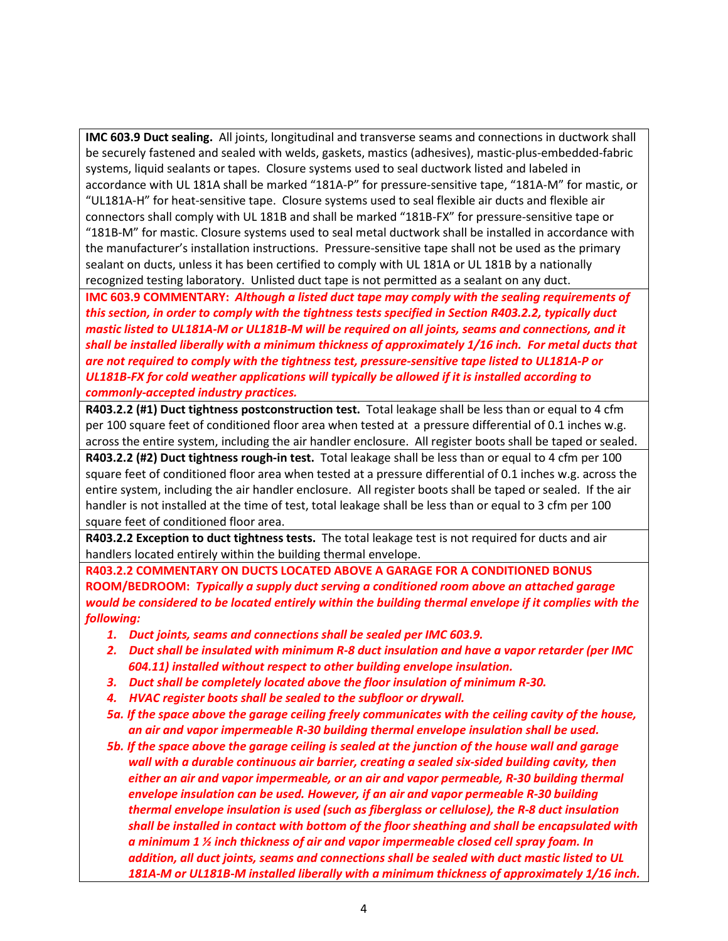**IMC 603.9 Duct sealing.** All joints, longitudinal and transverse seams and connections in ductwork shall be securely fastened and sealed with welds, gaskets, mastics (adhesives), mastic-plus-embedded-fabric systems, liquid sealants or tapes. Closure systems used to seal ductwork listed and labeled in accordance with UL 181A shall be marked "181A-P" for pressure-sensitive tape, "181A-M" for mastic, or "UL181A-H" for heat-sensitive tape. Closure systems used to seal flexible air ducts and flexible air connectors shall comply with UL 181B and shall be marked "181B-FX" for pressure-sensitive tape or "181B-M" for mastic. Closure systems used to seal metal ductwork shall be installed in accordance with the manufacturer's installation instructions. Pressure-sensitive tape shall not be used as the primary sealant on ducts, unless it has been certified to comply with UL 181A or UL 181B by a nationally recognized testing laboratory. Unlisted duct tape is not permitted as a sealant on any duct.

**IMC 603.9 COMMENTARY:** *Although a listed duct tape may comply with the sealing requirements of this section, in order to comply with the tightness tests specified in Section R403.2.2, typically duct mastic listed to UL181A-M or UL181B-M will be required on all joints, seams and connections, and it shall be installed liberally with a minimum thickness of approximately 1/16 inch. For metal ducts that are not required to comply with the tightness test, pressure-sensitive tape listed to UL181A-P or UL181B-FX for cold weather applications will typically be allowed if it is installed according to commonly-accepted industry practices.*

**R403.2.2 (#1) Duct tightness postconstruction test.** Total leakage shall be less than or equal to 4 cfm per 100 square feet of conditioned floor area when tested at a pressure differential of 0.1 inches w.g. across the entire system, including the air handler enclosure. All register boots shall be taped or sealed.

**R403.2.2 (#2) Duct tightness rough-in test.** Total leakage shall be less than or equal to 4 cfm per 100 square feet of conditioned floor area when tested at a pressure differential of 0.1 inches w.g. across the entire system, including the air handler enclosure. All register boots shall be taped or sealed. If the air handler is not installed at the time of test, total leakage shall be less than or equal to 3 cfm per 100 square feet of conditioned floor area.

**R403.2.2 Exception to duct tightness tests.** The total leakage test is not required for ducts and air handlers located entirely within the building thermal envelope.

**R403.2.2 COMMENTARY ON DUCTS LOCATED ABOVE A GARAGE FOR A CONDITIONED BONUS ROOM/BEDROOM:** *Typically a supply duct serving a conditioned room above an attached garage would be considered to be located entirely within the building thermal envelope if it complies with the following:* 

- *1. Duct joints, seams and connections shall be sealed per IMC 603.9.*
- *2. Duct shall be insulated with minimum R-8 duct insulation and have a vapor retarder (per IMC 604.11) installed without respect to other building envelope insulation.*
- *3. Duct shall be completely located above the floor insulation of minimum R-30.*
- *4. HVAC register boots shall be sealed to the subfloor or drywall.*
- *5a. If the space above the garage ceiling freely communicates with the ceiling cavity of the house, an air and vapor impermeable R-30 building thermal envelope insulation shall be used.*
- *5b. If the space above the garage ceiling is sealed at the junction of the house wall and garage wall with a durable continuous air barrier, creating a sealed six-sided building cavity, then either an air and vapor impermeable, or an air and vapor permeable, R-30 building thermal envelope insulation can be used. However, if an air and vapor permeable R-30 building thermal envelope insulation is used (such as fiberglass or cellulose), the R-8 duct insulation shall be installed in contact with bottom of the floor sheathing and shall be encapsulated with a minimum 1 ½ inch thickness of air and vapor impermeable closed cell spray foam. In addition, all duct joints, seams and connections shall be sealed with duct mastic listed to UL 181A-M or UL181B-M installed liberally with a minimum thickness of approximately 1/16 inch.*